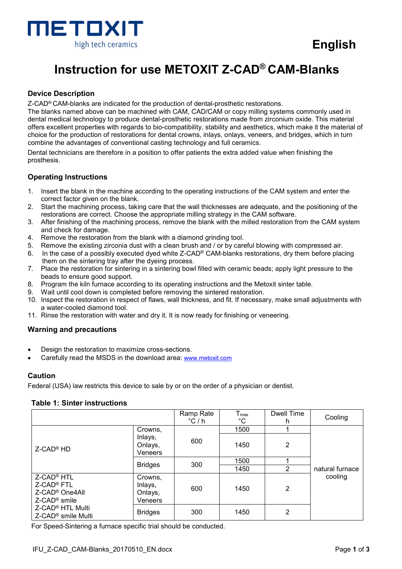

# **Instruction for use METOXIT Z-CAD® CAM-Blanks**

# **Device Description**

Z-CAD® CAM-blanks are indicated for the production of dental-prosthetic restorations.

The blanks named above can be machined with CAM, CAD/CAM or copy milling systems commonly used in dental medical technology to produce dental-prosthetic restorations made from zirconium oxide. This material offers excellent properties with regards to bio-compatibility, stability and aesthetics, which make it the material of choice for the production of restorations for dental crowns, inlays, onlays, veneers, and bridges, which in turn combine the advantages of conventional casting technology and full ceramics.

Dental technicians are therefore in a position to offer patients the extra added value when finishing the prosthesis.

## **Operating Instructions**

- 1. Insert the blank in the machine according to the operating instructions of the CAM system and enter the correct factor given on the blank.
- 2. Start the machining process, taking care that the wall thicknesses are adequate, and the positioning of the restorations are correct. Choose the appropriate milling strategy in the CAM software.
- 3. After finishing of the machining process, remove the blank with the milled restoration from the CAM system and check for damage.
- 4. Remove the restoration from the blank with a diamond grinding tool.
- 5. Remove the existing zirconia dust with a clean brush and / or by careful blowing with compressed air.
- 6. In the case of a possibly executed dyed white Z-CAD® CAM-blanks restorations, dry them before placing them on the sintering tray after the dyeing process.
- 7. Place the restoration for sintering in a sintering bowl filled with ceramic beads; apply light pressure to the beads to ensure good support.
- 8. Program the kiln furnace according to its operating instructions and the Metoxit sinter table.
- 9. Wait until cool down is completed before removing the sintered restoration.
- 10. Inspect the restoration in respect of flaws, wall thickness, and fit. If necessary, make small adjustments with a water-cooled diamond tool.
- 11. Rinse the restoration with water and dry it. It is now ready for finishing or veneering.

#### **Warning and precautions**

- Design the restoration to maximize cross-sections.
- Carefully read the MSDS in the download area: www.metoxit.com

#### **Caution**

Federal (USA) law restricts this device to sale by or on the order of a physician or dentist.

## **Table 1: Sinter instructions**

|                                                                                                               |                                          | Ramp Rate<br>$^{\circ}$ C / h | $T_{max}$<br>$^{\circ}$ C | Dwell Time<br>h | Cooling         |  |
|---------------------------------------------------------------------------------------------------------------|------------------------------------------|-------------------------------|---------------------------|-----------------|-----------------|--|
| $Z$ -CAD <sup>®</sup> HD                                                                                      | Crowns,                                  |                               | 1500                      |                 |                 |  |
|                                                                                                               | Inlays,<br>Onlays,<br>Veneers            | 600                           | 1450                      | 2               |                 |  |
|                                                                                                               | <b>Bridges</b>                           | 300                           | 1500                      |                 |                 |  |
|                                                                                                               |                                          |                               | 1450                      | 2               | natural furnace |  |
| Z-CAD <sup>®</sup> HTL<br>Z-CAD <sup>®</sup> FTL<br>Z-CAD <sup>®</sup> One4All<br>$Z$ -CAD <sup>®</sup> smile | Crowns,<br>Inlays,<br>Onlays,<br>Veneers | 600                           | 1450                      | $\overline{2}$  | cooling         |  |
| Z-CAD <sup>®</sup> HTL Multi<br>Z-CAD <sup>®</sup> smile Multi                                                | <b>Bridges</b>                           | 300                           | 1450                      | 2               |                 |  |

For Speed-Sintering a furnace specific trial should be conducted.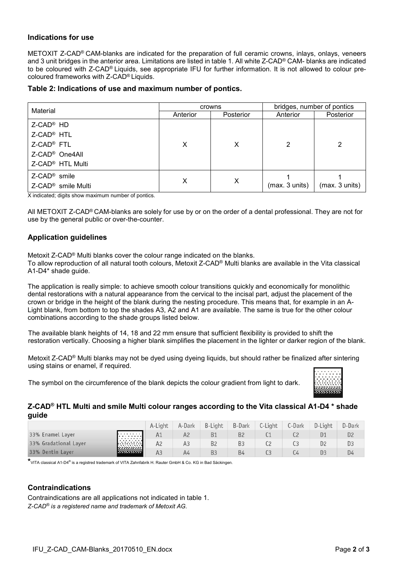## **Indications for use**

METOXIT Z-CAD® CAM-blanks are indicated for the preparation of full ceramic crowns, inlays, onlays, veneers and 3 unit bridges in the anterior area. Limitations are listed in table 1. All white Z-CAD® CAM- blanks are indicated to be coloured with Z-CAD® Liquids, see appropriate IFU for further information. It is not allowed to colour precoloured frameworks with Z-CAD® Liquids.

#### **Table 2: Indications of use and maximum number of pontics.**

|                                | crowns   |           | bridges, number of pontics |                |  |
|--------------------------------|----------|-----------|----------------------------|----------------|--|
| Material                       | Anterior | Posterior | Anterior                   | Posterior      |  |
| Z-CAD <sup>®</sup> HD          |          |           |                            |                |  |
| Z-CAD <sup>®</sup> HTL         |          |           |                            |                |  |
| Z-CAD <sup>®</sup> FTL         | X        | X         | 2                          | 2              |  |
| Z-CAD <sup>®</sup> One4All     |          |           |                            |                |  |
| Z-CAD <sup>®</sup> HTL Multi   |          |           |                            |                |  |
| $Z$ -CAD <sup>®</sup> smile    |          |           |                            |                |  |
| Z-CAD <sup>®</sup> smile Multi | X        | X         | (max. 3 units)             | (max. 3 units) |  |

X indicated; digits show maximum number of pontics.

All METOXIT Z-CAD® CAM-blanks are solely for use by or on the order of a dental professional. They are not for use by the general public or over-the-counter.

# **Application guidelines**

Metoxit Z-CAD® Multi blanks cover the colour range indicated on the blanks.

To allow reproduction of all natural tooth colours, Metoxit Z-CAD® Multi blanks are available in the Vita classical A1-D4\* shade guide.

The application is really simple: to achieve smooth colour transitions quickly and economically for monolithic dental restorations with a natural appearance from the cervical to the incisal part, adjust the placement of the crown or bridge in the height of the blank during the nesting procedure. This means that, for example in an A-Light blank, from bottom to top the shades A3, A2 and A1 are available. The same is true for the other colour combinations according to the shade groups listed below.

The available blank heights of 14, 18 and 22 mm ensure that sufficient flexibility is provided to shift the restoration vertically. Choosing a higher blank simplifies the placement in the lighter or darker region of the blank.

Metoxit Z-CAD® Multi blanks may not be dyed using dyeing liquids, but should rather be finalized after sintering using stains or enamel, if required.

The symbol on the circumference of the blank depicts the colour gradient from light to dark.



# **Z-CAD® HTL Multi and smile Multi colour ranges according to the Vita classical A1-D4 \* shade guide**

|                       |                      | A-Liaht | A-Dark | B-Liaht        | <b>B-Dark</b>  | C-Light | C-Dark | D-Light        | D-Dark         |
|-----------------------|----------------------|---------|--------|----------------|----------------|---------|--------|----------------|----------------|
| 33% Enamel Layer      | teener (             |         |        |                | <b>B2</b>      |         |        |                | D <sub>2</sub> |
| 33% Gradational Layer | ka a sa 1<br>.       | A2      |        | B <sub>2</sub> | B <sub>3</sub> |         |        | D <sub>2</sub> | D3             |
| 33% Dentin Layer      | rammal<br>1333333333 | AЗ      | A4     | B <sub>3</sub> | <b>B4</b>      |         |        | DЗ             | D4             |

**\***VITA classical A1-D4® is a registred trademark of VITA Zahnfabrik H. Rauter GmbH & Co. KG in Bad Säckingen.

# **Contraindications**

Contraindications are all applications not indicated in table 1. *Z-CAD® is a registered name and trademark of Metoxit AG.*